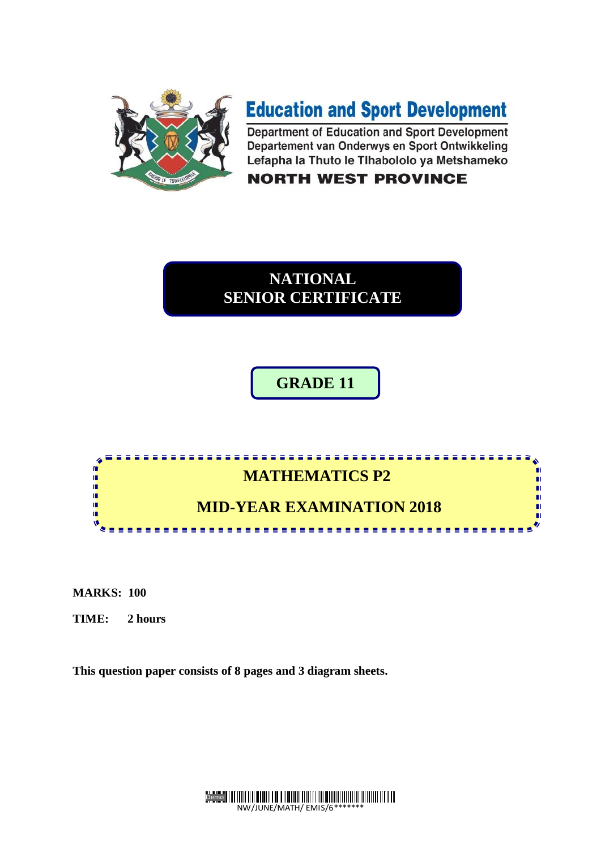

# **Education and Sport Development**

Department of Education and Sport Development Departement van Onderwys en Sport Ontwikkeling Lefapha la Thuto le Tlhabololo ya Metshameko

# **NORTH WEST PROVINCE**

# **NATIONAL SENIOR CERTIFICATE**

**GRADE 11**



**MARKS: 100**

**TIME: 2 hours**

**This question paper consists of 8 pages and 3 diagram sheets.**

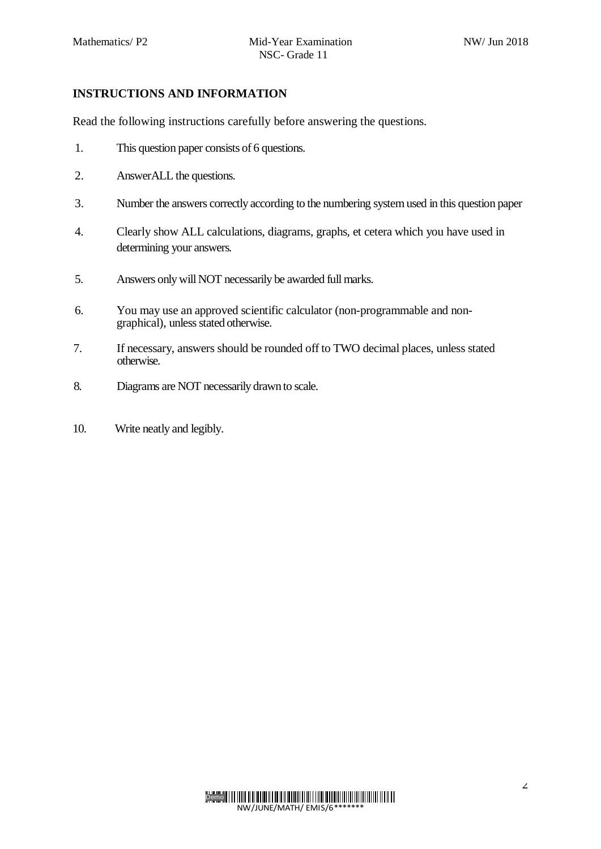#### **INSTRUCTIONS AND INFORMATION**

Read the following instructions carefully before answering the questions.

- 1. This question paper consists of 6 questions.
- 2. AnswerALL the questions.
- 3. Number the answers correctly according to the numbering system used in this question paper
- 4. Clearly show ALL calculations, diagrams, graphs, et cetera which you have used in determining your answers.
- 5. Answers only will NOT necessarily be awarded full marks.
- 6. You may use an approved scientific calculator (non-programmable and nongraphical), unless stated otherwise.
- 7. If necessary, answers should be rounded off to TWO decimal places, unless stated otherwise.
- 8. Diagrams are NOT necessarily drawn to scale.
- 10. Write neatly and legibly.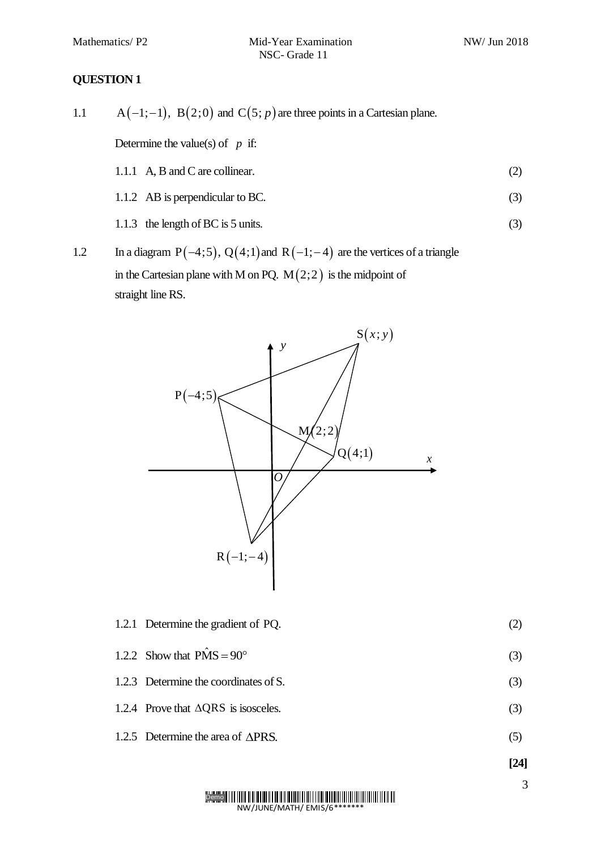1.1  $A(-1;-1)$ ,  $B(2;0)$  and  $C(5; p)$  are three points in a Cartesian plane.

Determine the value(s) of  $p$  if:

- 1.1.2 AB is perpendicular to BC. (3)
- 1.1.3 the length of BC is 5 units. (3)
- 1.2 In a diagram  $P(-4;5)$ ,  $Q(4;1)$  and  $R(-1;-4)$  are the vertices of a triangle in the Cartesian plane with M on PQ.  $M(2,2)$  is the midpoint of straight line RS.



1.2.1 Determine the gradient of PQ. (2)

- 1.2.2 Show that  $\angle PMS = 90^\circ$ (3)
- 1.2.3 Determine the coordinates of S. (3)
- 1.2.4 Prove that  $\triangle QRS$  is isosceles. (3)
- 1.2.5 Determine the area of  $\triangle PRS$ . (5)

**[24]**

3

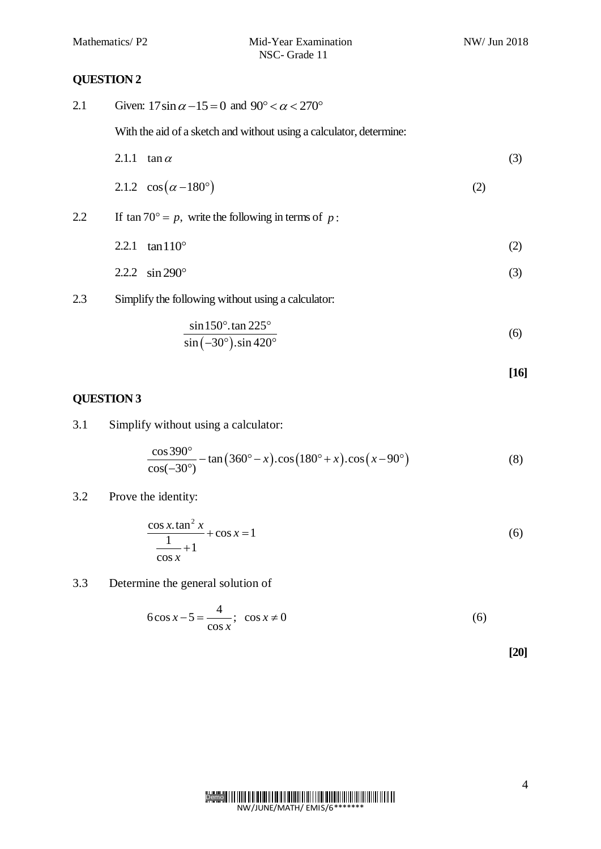| 2.1 | Given: $17 \sin \alpha - 15 = 0$ and $90^{\circ} < \alpha < 270^{\circ}$ |     |     |
|-----|--------------------------------------------------------------------------|-----|-----|
|     | With the aid of a sketch and without using a calculator, determine:      |     |     |
|     | 2.1.1<br>$\tan \alpha$                                                   |     | (3) |
|     | 2.1.2 $\cos(\alpha - 180^{\circ})$                                       | (2) |     |
| 2.2 | If $\tan 70^\circ = p$ , write the following in terms of p:              |     |     |
|     | 2.2.1<br>$tan 110^\circ$                                                 |     | (2) |
|     | 2.2.2 $\sin 290^\circ$                                                   |     | (3) |
| 2.3 | Simplify the following without using a calculator:                       |     |     |
|     | $\sin 150^\circ$ . tan 225°<br>$\sin(-30^{\circ})$ . $\sin 420^{\circ}$  |     | (6) |

**[16]**

# **QUESTION 3**

3.1 Simplify without using a calculator:

$$
\frac{\cos 390^{\circ}}{\cos(-30^{\circ})} - \tan (360^{\circ} - x) \cdot \cos (180^{\circ} + x) \cdot \cos (x - 90^{\circ})
$$
(8)

#### 3.2 Prove the identity:

$$
\frac{\cos x \cdot \tan^2 x}{\frac{1}{\cos x} + 1} + \cos x = 1
$$
\n(6)

3.3 Determine the general solution of

$$
6\cos x - 5 = \frac{4}{\cos x}; \quad \cos x \neq 0 \tag{6}
$$

**[20]**

$$
\underbrace{\text{Demo}}_{\text{NW/JUNE/MATH/EMS}/6******}
$$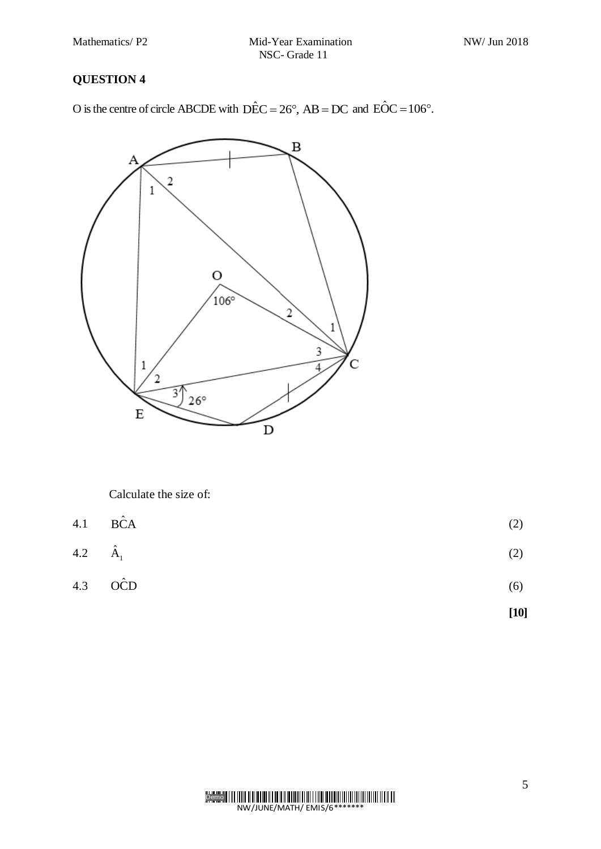O is the centre of circle ABCDE with  $\angle$ DÊC = 26°, AB = DC and  $\angle EOC = 106$ °.



Calculate the size of:

| $4.1$ $B\hat{C}A$ | (2) |
|-------------------|-----|
| 4.2 $\hat{A}_1$   | (2) |

4.3 OCD ˆ (6)

**[10]**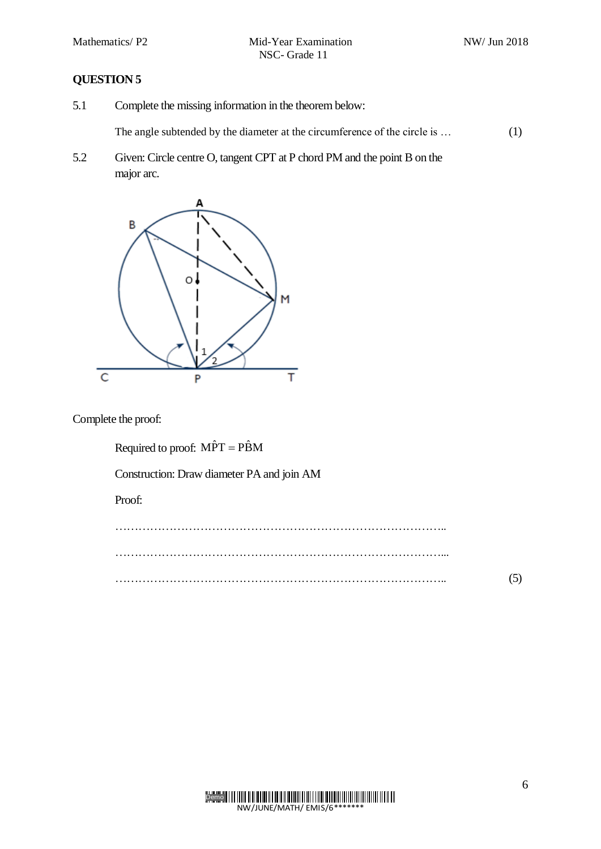5.1 Complete the missing information in the theorem below:

The angle subtended by the diameter at the circumference of the circle is ... (1)

5.2 Given: Circle centre O, tangent CPT at P chord PM and the point B on the major arc.



Complete the proof:

Required to proof:  $M\hat{P}T = P\hat{B}M$ 

Construction: Draw diameter PA and join AM

Proof:

| (5) |
|-----|

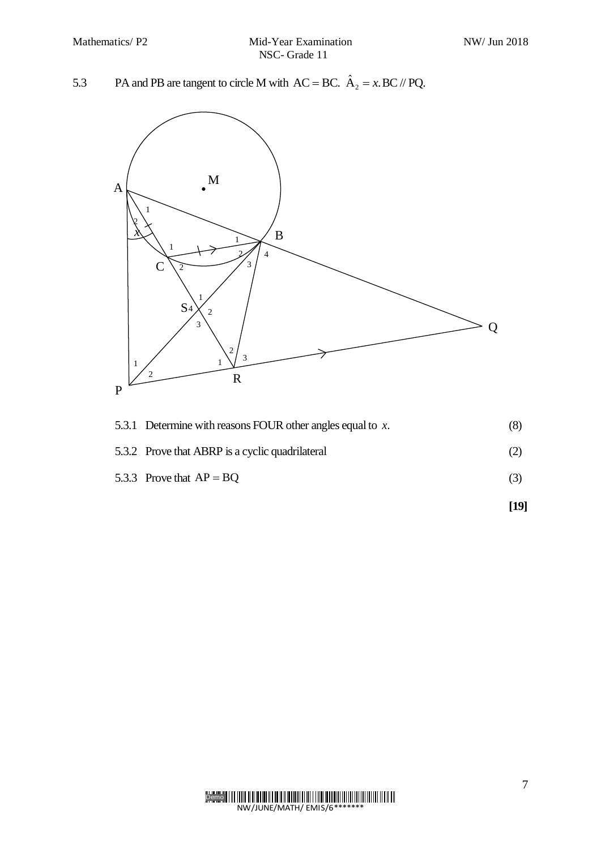5.3 PA and PB are tangent to circle M with  $AC = BC$ .  $\hat{A}_2 = x \cdot BC / PQ$ .



| 5.3.1 Determine with reasons FOUR other angles equal to $x$ . |     |
|---------------------------------------------------------------|-----|
| 5.3.2 Prove that ABRP is a cyclic quadrilateral               |     |
| 5.3.3 Prove that $AP = BO$                                    | (3) |

**[19]**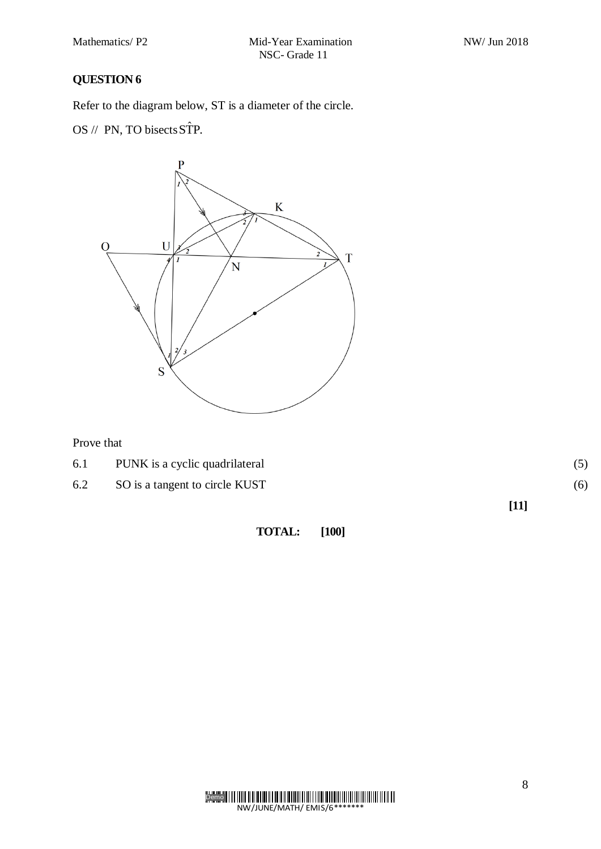Refer to the diagram below, ST is a diameter of the circle.

OS // PN, TO bisects STP.



Prove that

|     |                                | [11] |     |
|-----|--------------------------------|------|-----|
| 6.2 | SO is a tangent to circle KUST |      | (6) |
| 6.1 | PUNK is a cyclic quadrilateral |      |     |

**TOTAL: [100]**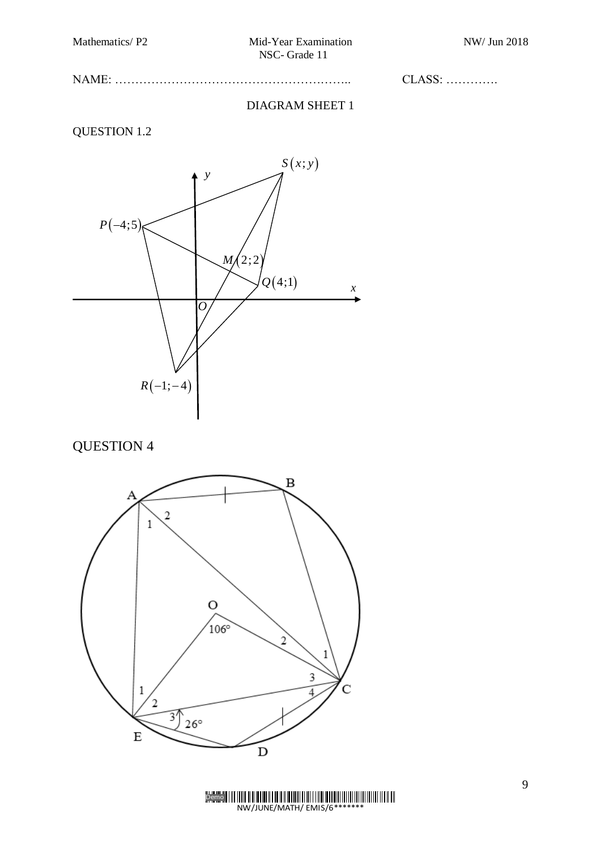### NAME: ………………………………………………….. CLASS: ………….

#### DIAGRAM SHEET 1

### QUESTION 1.2



QUESTION 4

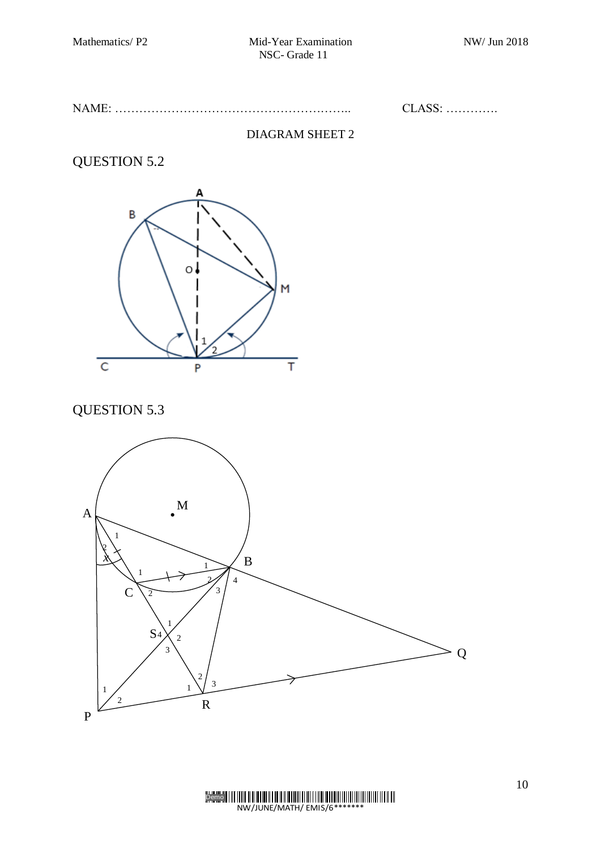NAME: ………………………………………………….. CLASS: ………….

#### DIAGRAM SHEET 2

QUESTION 5.2



QUESTION 5.3